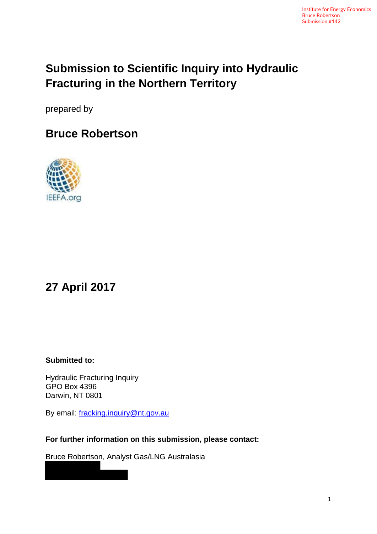# **Submission to Scientific Inquiry into Hydraulic Fracturing in the Northern Territory**

prepared by

## **Bruce Robertson**



## **27 April 2017**

**Submitted to:**

Hydraulic Fracturing Inquiry GPO Box 4396 Darwin, NT 0801

By email: [fracking.inquiry@nt.gov.au](mailto:fracking.inquiry@nt.gov.au)

**For further information on this submission, please contact:**

Bruce Robertson, Analyst Gas/LNG Australasia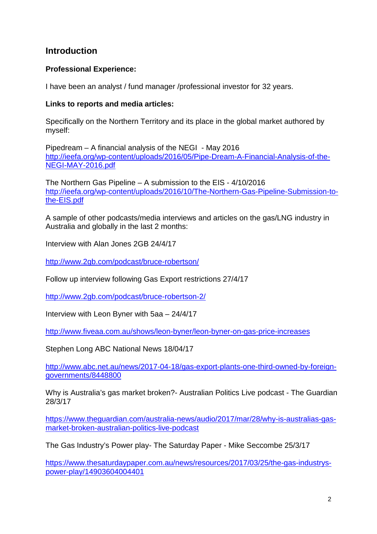#### **Introduction**

#### **Professional Experience:**

I have been an analyst / fund manager /professional investor for 32 years.

#### **Links to reports and media articles:**

Specifically on the Northern Territory and its place in the global market authored by myself:

Pipedream – A financial analysis of the NEGI - May 2016 [http://ieefa.org/wp-content/uploads/2016/05/Pipe-Dream-A-Financial-Analysis-of-the-](http://ieefa.org/wp-content/uploads/2016/05/Pipe-Dream-A-Financial-Analysis-of-the-NEGI-MAY-2016.pdf)[NEGI-MAY-2016.pdf](http://ieefa.org/wp-content/uploads/2016/05/Pipe-Dream-A-Financial-Analysis-of-the-NEGI-MAY-2016.pdf)

The Northern Gas Pipeline – A submission to the EIS - 4/10/2016 [http://ieefa.org/wp-content/uploads/2016/10/The-Northern-Gas-Pipeline-Submission-to](http://ieefa.org/wp-content/uploads/2016/10/The-Northern-Gas-Pipeline-Submission-to-the-EIS.pdf)[the-EIS.pdf](http://ieefa.org/wp-content/uploads/2016/10/The-Northern-Gas-Pipeline-Submission-to-the-EIS.pdf)

A sample of other podcasts/media interviews and articles on the gas/LNG industry in Australia and globally in the last 2 months:

Interview with Alan Jones 2GB 24/4/17

<http://www.2gb.com/podcast/bruce-robertson/>

Follow up interview following Gas Export restrictions 27/4/17

<http://www.2gb.com/podcast/bruce-robertson-2/>

Interview with Leon Byner with 5aa – 24/4/17

<http://www.fiveaa.com.au/shows/leon-byner/leon-byner-on-gas-price-increases>

Stephen Long ABC National News 18/04/17

[http://www.abc.net.au/news/2017-04-18/gas-export-plants-one-third-owned-by-foreign](http://www.abc.net.au/news/2017-04-18/gas-export-plants-one-third-owned-by-foreign-governments/8448800)[governments/8448800](http://www.abc.net.au/news/2017-04-18/gas-export-plants-one-third-owned-by-foreign-governments/8448800)

Why is Australia's gas market broken?- Australian Politics Live podcast - The Guardian 28/3/17

[https://www.theguardian.com/australia-news/audio/2017/mar/28/why-is-australias-gas](https://www.theguardian.com/australia-news/audio/2017/mar/28/why-is-australias-gas-market-broken-australian-politics-live-podcast)[market-broken-australian-politics-live-podcast](https://www.theguardian.com/australia-news/audio/2017/mar/28/why-is-australias-gas-market-broken-australian-politics-live-podcast)

The Gas Industry's Power play- The Saturday Paper - Mike Seccombe 25/3/17

[https://www.thesaturdaypaper.com.au/news/resources/2017/03/25/the-gas-industrys](https://www.thesaturdaypaper.com.au/news/resources/2017/03/25/the-gas-industrys-power-play/14903604004401)[power-play/14903604004401](https://www.thesaturdaypaper.com.au/news/resources/2017/03/25/the-gas-industrys-power-play/14903604004401)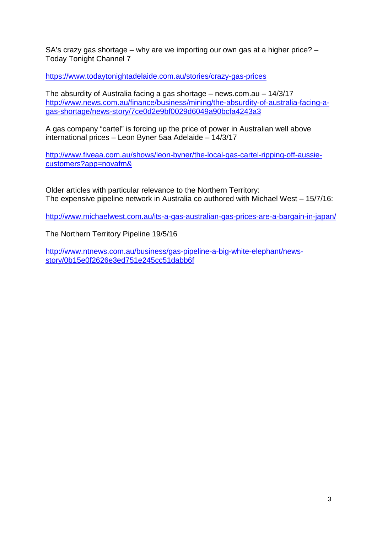SA's crazy gas shortage – why are we importing our own gas at a higher price? – Today Tonight Channel 7

<https://www.todaytonightadelaide.com.au/stories/crazy-gas-prices>

The absurdity of Australia facing a gas shortage – news.com.au – 14/3/17 [http://www.news.com.au/finance/business/mining/the-absurdity-of-australia-facing-a](http://www.news.com.au/finance/business/mining/the-absurdity-of-australia-facing-a-gas-shortage/news-story/7ce0d2e9bf0029d6049a90bcfa4243a3)[gas-shortage/news-story/7ce0d2e9bf0029d6049a90bcfa4243a3](http://www.news.com.au/finance/business/mining/the-absurdity-of-australia-facing-a-gas-shortage/news-story/7ce0d2e9bf0029d6049a90bcfa4243a3)

A gas company "cartel" is forcing up the price of power in Australian well above international prices – Leon Byner 5aa Adelaide – 14/3/17

[http://www.fiveaa.com.au/shows/leon-byner/the-local-gas-cartel-ripping-off-aussie](http://www.fiveaa.com.au/shows/leon-byner/the-local-gas-cartel-ripping-off-aussie-customers?app=novafm&)[customers?app=novafm&](http://www.fiveaa.com.au/shows/leon-byner/the-local-gas-cartel-ripping-off-aussie-customers?app=novafm&)

Older articles with particular relevance to the Northern Territory: The expensive pipeline network in Australia co authored with Michael West – 15/7/16:

<http://www.michaelwest.com.au/its-a-gas-australian-gas-prices-are-a-bargain-in-japan/>

The Northern Territory Pipeline 19/5/16

[http://www.ntnews.com.au/business/gas-pipeline-a-big-white-elephant/news](http://www.ntnews.com.au/business/gas-pipeline-a-big-white-elephant/news-story/0b15e0f2626e3ed751e245cc51dabb6f)[story/0b15e0f2626e3ed751e245cc51dabb6f](http://www.ntnews.com.au/business/gas-pipeline-a-big-white-elephant/news-story/0b15e0f2626e3ed751e245cc51dabb6f)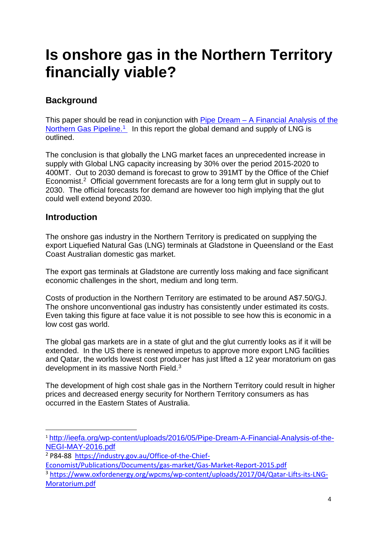# **Is onshore gas in the Northern Territory financially viable?**

#### **Background**

This paper should be read in conjunction with Pipe Dream – [A Financial Analysis of the](http://ieefa.org/wp-content/uploads/2016/05/Pipe-Dream-A-Financial-Analysis-of-the-NEGI-MAY-2016.pdf)  Northern Gas Pipeline.<sup>1</sup> In this report the global demand and supply of LNG is [outlined.](http://ieefa.org/wp-content/uploads/2016/05/Pipe-Dream-A-Financial-Analysis-of-the-NEGI-MAY-2016.pdf) 

[The conclusion is that globally the LNG market faces an unprecedented increase in](http://ieefa.org/wp-content/uploads/2016/05/Pipe-Dream-A-Financial-Analysis-of-the-NEGI-MAY-2016.pdf)  [supply with Global LNG capacity increasing by 30% over the period 2015-2020 to](http://ieefa.org/wp-content/uploads/2016/05/Pipe-Dream-A-Financial-Analysis-of-the-NEGI-MAY-2016.pdf)  [400MT. Out to 2030 demand is forecast to grow to 391MT by the Office of the Chief](http://ieefa.org/wp-content/uploads/2016/05/Pipe-Dream-A-Financial-Analysis-of-the-NEGI-MAY-2016.pdf)  Economist.[2](#page-3-1) [Official government forecasts are for a long term glut in supply out to](http://ieefa.org/wp-content/uploads/2016/05/Pipe-Dream-A-Financial-Analysis-of-the-NEGI-MAY-2016.pdf)  [2030. The official forecasts for demand are however too high implying that the glut](http://ieefa.org/wp-content/uploads/2016/05/Pipe-Dream-A-Financial-Analysis-of-the-NEGI-MAY-2016.pdf)  [could well extend beyond 2030.](http://ieefa.org/wp-content/uploads/2016/05/Pipe-Dream-A-Financial-Analysis-of-the-NEGI-MAY-2016.pdf) 

#### **Introduction**

The onshore gas industry in the Northern Territory is predicated on supplying the export Liquefied Natural Gas (LNG) terminals at Gladstone in Queensland or the East Coast Australian domestic gas market.

The export gas terminals at Gladstone are currently loss making and face significant economic challenges in the short, medium and long term.

Costs of production in the Northern Territory are estimated to be around A\$7.50/GJ. The onshore unconventional gas industry has consistently under estimated its costs. Even taking this figure at face value it is not possible to see how this is economic in a low cost gas world.

The global gas markets are in a state of glut and the glut currently looks as if it will be extended. In the US there is renewed impetus to approve more export LNG facilities and Qatar, the worlds lowest cost producer has just lifted a 12 year moratorium on gas development in its massive North Field.<sup>[3](#page-3-2)</sup>

The development of high cost shale gas in the Northern Territory could result in higher prices and decreased energy security for Northern Territory consumers as has occurred in the Eastern States of Australia.

<span id="page-3-0"></span> <sup>1</sup> [http://ieefa.org/wp-content/uploads/2016/05/Pipe-Dream-A-Financial-Analysis-of-the-](http://ieefa.org/wp-content/uploads/2016/05/Pipe-Dream-A-Financial-Analysis-of-the-NEGI-MAY-2016.pdf)[NEGI-MAY-2016.pdf](http://ieefa.org/wp-content/uploads/2016/05/Pipe-Dream-A-Financial-Analysis-of-the-NEGI-MAY-2016.pdf)

<span id="page-3-1"></span><sup>2</sup> P84-88 [https://industry.gov.au/Office-of-the-Chief-](https://industry.gov.au/Office-of-the-Chief-Economist/Publications/Documents/gas-market/Gas-Market-Report-2015.pdf)

[Economist/Publications/Documents/gas-market/Gas-Market-Report-2015.pdf](https://industry.gov.au/Office-of-the-Chief-Economist/Publications/Documents/gas-market/Gas-Market-Report-2015.pdf)

<span id="page-3-2"></span><sup>3</sup> [https://www.oxfordenergy.org/wpcms/wp-content/uploads/2017/04/Qatar-Lifts-its-LNG-](https://www.oxfordenergy.org/wpcms/wp-content/uploads/2017/04/Qatar-Lifts-its-LNG-Moratorium.pdf)[Moratorium.pdf](https://www.oxfordenergy.org/wpcms/wp-content/uploads/2017/04/Qatar-Lifts-its-LNG-Moratorium.pdf)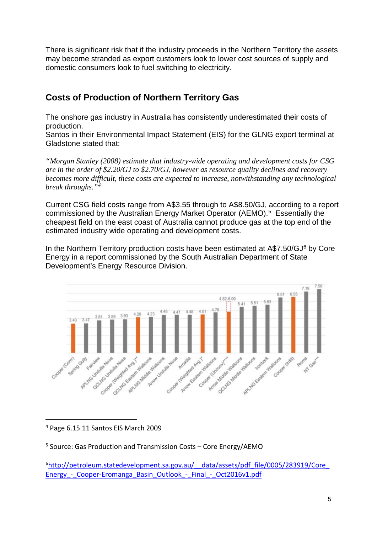There is significant risk that if the industry proceeds in the Northern Territory the assets may become stranded as export customers look to lower cost sources of supply and domestic consumers look to fuel switching to electricity.

### **Costs of Production of Northern Territory Gas**

The onshore gas industry in Australia has consistently underestimated their costs of production.

Santos in their Environmental Impact Statement (EIS) for the GLNG export terminal at Gladstone stated that:

*"Morgan Stanley (2008) estimate that industry-wide operating and development costs for CSG are in the order of \$2.20/GJ to \$2.70/GJ, however as resource quality declines and recovery becomes more difficult, these costs are expected to increase, notwithstanding any technological break throughs."[4](#page-4-0)*

Current CSG field costs range from A\$3.55 through to A\$8.50/GJ, according to a report commissioned by the Australian Energy Market Operator (AEMO). [5](#page-4-1) Essentially the cheapest field on the east coast of Australia cannot produce gas at the top end of the estimated industry wide operating and development costs.

In the Northern Territory production costs have been estimated at A\$7.50/GJ<sup>6</sup> by Core Energy in a report commissioned by the South Australian Department of State Development's Energy Resource Division.



<span id="page-4-0"></span>4 Page 6.15.11 Santos EIS March 2009

<span id="page-4-2"></span><sup>6</sup>http://petroleum.statedevelopment.sa.gov.au/ data/assets/pdf\_file/0005/283919/Core Energy - Cooper-Eromanga Basin Outlook - Final - Oct2016v1.pdf

<span id="page-4-1"></span><sup>5</sup> Source: Gas Production and Transmission Costs – Core Energy/AEMO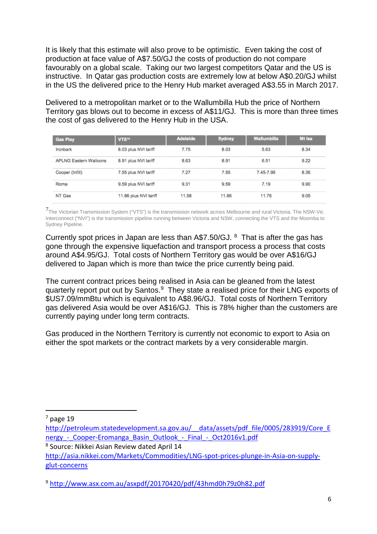It is likely that this estimate will also prove to be optimistic. Even taking the cost of production at face value of A\$7.50/GJ the costs of production do not compare favourably on a global scale. Taking our two largest competitors Qatar and the US is instructive. In Qatar gas production costs are extremely low at below A\$0.20/GJ whilst in the US the delivered price to the Henry Hub market averaged A\$3.55 in March 2017.

Delivered to a metropolitan market or to the Wallumbilla Hub the price of Northern Territory gas blows out to become in excess of A\$11/GJ. This is more than three times the cost of gas delivered to the Henry Hub in the USA.

| <b>Gas Play</b>               | VTS <sup>14</sup>     | <b>Adelaide</b> | <b>Sydney</b> | <b>Wallumbilla</b> | Mt Isa |
|-------------------------------|-----------------------|-----------------|---------------|--------------------|--------|
| Ironbark                      | 8.03 plus NVI tariff  | 7.75            | 8.03          | 5.63               | 8.34   |
| <b>APLNG Eastern Walloons</b> | 8.91 plus NVI tariff  | 8.63            | 8.91          | 6.51               | 9.22   |
| Cooper (Infill)               | 7.55 plus NVI tariff  | 7.27            | 7.55          | 7.45-7.95          | 8.36   |
| Roma                          | 9.59 plus NVI tariff  | 9.31            | 9.59          | 7.19               | 9.90   |
| NT Gas                        | 11.86 plus NVI tariff | 11.58           | 11.86         | 11.76              | 9.05   |

[7](#page-5-0)The Victorian Transmission System ("VTS") is the transmission network across Melbourne and rural Victoria. The NSW-Vic Interconnect ("NVI") is the transmission pipeline running between Victoria and NSW, connecting the VTS and the Moomba to Sydney Pipeline.

Currently spot prices in Japan are less than A\$7.50/GJ. [8](#page-5-1) That is after the gas has gone through the expensive liquefaction and transport process a process that costs around A\$4.95/GJ. Total costs of Northern Territory gas would be over A\$16/GJ delivered to Japan which is more than twice the price currently being paid.

The current contract prices being realised in Asia can be gleaned from the latest quarterly report put out by Santos.[9](#page-5-2) They state a realised price for their LNG exports of \$US7.09/mmBtu which is equivalent to A\$8.96/GJ. Total costs of Northern Territory gas delivered Asia would be over A\$16/GJ. This is 78% higher than the customers are currently paying under long term contracts.

Gas produced in the Northern Territory is currently not economic to export to Asia on either the spot markets or the contract markets by a very considerable margin.

<span id="page-5-0"></span> $<sup>7</sup>$  page 19</sup>

[http://petroleum.statedevelopment.sa.gov.au/\\_\\_data/assets/pdf\\_file/0005/283919/Core\\_E](http://petroleum.statedevelopment.sa.gov.au/__data/assets/pdf_file/0005/283919/Core_Energy_-_Cooper-Eromanga_Basin_Outlook_-_Final_-_Oct2016v1.pdf) nergy - Cooper-Eromanga Basin Outlook - Final - Oct2016v1.pdf

<span id="page-5-1"></span><sup>8</sup> Source: Nikkei Asian Review dated April 14

[http://asia.nikkei.com/Markets/Commodities/LNG-spot-prices-plunge-in-Asia-on-supply](http://asia.nikkei.com/Markets/Commodities/LNG-spot-prices-plunge-in-Asia-on-supply-glut-concerns)[glut-concerns](http://asia.nikkei.com/Markets/Commodities/LNG-spot-prices-plunge-in-Asia-on-supply-glut-concerns)

<span id="page-5-2"></span><sup>9</sup> <http://www.asx.com.au/asxpdf/20170420/pdf/43hmd0h79z0h82.pdf>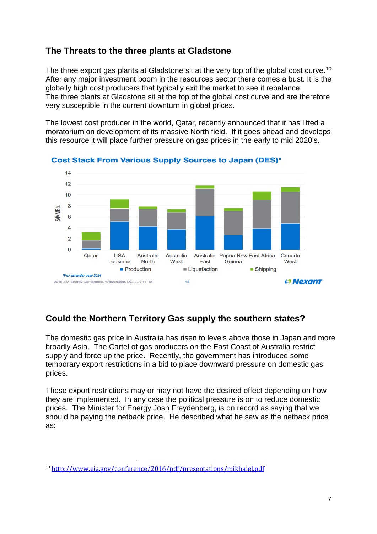#### **The Threats to the three plants at Gladstone**

The three export gas plants at Gladstone sit at the very top of the global cost curve.<sup>10</sup> After any major investment boom in the resources sector there comes a bust. It is the globally high cost producers that typically exit the market to see it rebalance. The three plants at Gladstone sit at the top of the global cost curve and are therefore very susceptible in the current downturn in global prices.

The lowest cost producer in the world, Qatar, recently announced that it has lifted a moratorium on development of its massive North field. If it goes ahead and develops this resource it will place further pressure on gas prices in the early to mid 2020's.



**Cost Stack From Various Supply Sources to Japan (DES)\*** 

## **Could the Northern Territory Gas supply the southern states?**

The domestic gas price in Australia has risen to levels above those in Japan and more broadly Asia. The Cartel of gas producers on the East Coast of Australia restrict supply and force up the price. Recently, the government has introduced some temporary export restrictions in a bid to place downward pressure on domestic gas prices.

These export restrictions may or may not have the desired effect depending on how they are implemented. In any case the political pressure is on to reduce domestic prices. The Minister for Energy Josh Freydenberg, is on record as saying that we should be paying the netback price. He described what he saw as the netback price as:

<span id="page-6-0"></span> <sup>10</sup> <http://www.eia.gov/conference/2016/pdf/presentations/mikhaiel.pdf>